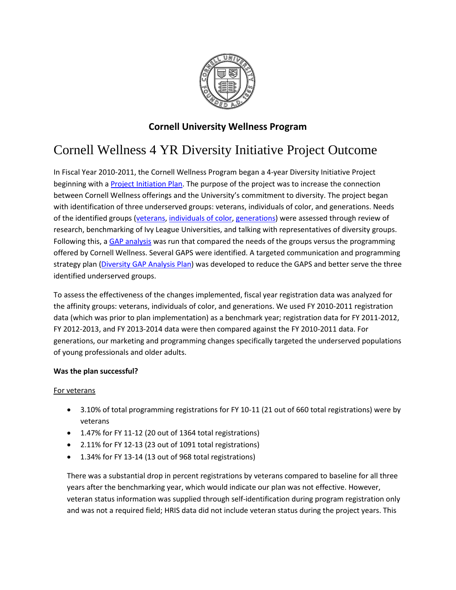

## **Cornell University Wellness Program**

# Cornell Wellness 4 YR Diversity Initiative Project Outcome

In Fiscal Year 2010-2011, the Cornell Wellness Program began a 4-year Diversity Initiative Project beginning with a **Project Initiation Plan**. The purpose of the project was to increase the connection between Cornell Wellness offerings and the University's commitment to diversity. The project began with identification of three underserved groups: veterans, individuals of color, and generations. Needs of the identified groups [\(veterans,](http://recreation.athletics.cornell.edu/sites/recreation.athletics.cornell.edu/files/documents/Veterans%20Grp%20-%20PIP.pdf) [individuals of color,](http://recreation.athletics.cornell.edu/sites/recreation.athletics.cornell.edu/files/documents/Individuals%20of%20Color%20-%20PIP.pdf) [generations\)](http://recreation.athletics.cornell.edu/sites/recreation.athletics.cornell.edu/files/documents/Generational%20Groups%20-%20PIP.pdf) were assessed through review of research, benchmarking of Ivy League Universities, and talking with representatives of diversity groups. Following this, a **GAP analysis** was run that compared the needs of the groups versus the programming offered by Cornell Wellness. Several GAPS were identified. A targeted communication and programming strategy plan [\(Diversity GAP Analysis Plan\)](https://recreation.athletics.cornell.edu/wellness/diversity-gap-analysis-plan) was developed to reduce the GAPS and better serve the three identified underserved groups.

To assess the effectiveness of the changes implemented, fiscal year registration data was analyzed for the affinity groups: veterans, individuals of color, and generations. We used FY 2010-2011 registration data (which was prior to plan implementation) as a benchmark year; registration data for FY 2011-2012, FY 2012-2013, and FY 2013-2014 data were then compared against the FY 2010-2011 data. For generations, our marketing and programming changes specifically targeted the underserved populations of young professionals and older adults.

### **Was the plan successful?**

### For veterans

- 3.10% of total programming registrations for FY 10-11 (21 out of 660 total registrations) were by veterans
- 1.47% for FY 11-12 (20 out of 1364 total registrations)
- 2.11% for FY 12-13 (23 out of 1091 total registrations)
- 1.34% for FY 13-14 (13 out of 968 total registrations)

There was a substantial drop in percent registrations by veterans compared to baseline for all three years after the benchmarking year, which would indicate our plan was not effective. However, veteran status information was supplied through self-identification during program registration only and was not a required field; HRIS data did not include veteran status during the project years. This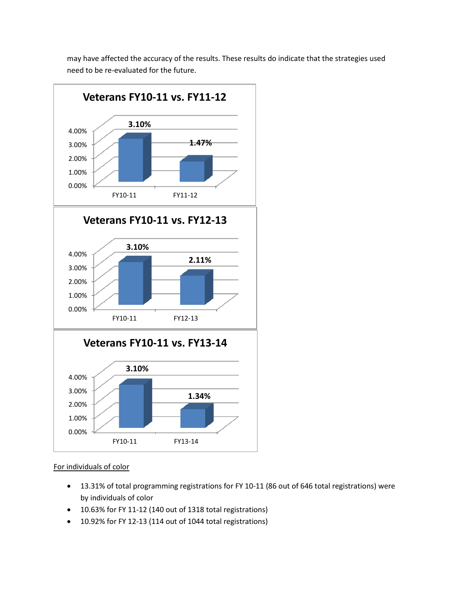may have affected the accuracy of the results. These results do indicate that the strategies used need to be re-evaluated for the future.



#### For individuals of color

- 13.31% of total programming registrations for FY 10-11 (86 out of 646 total registrations) were by individuals of color
- 10.63% for FY 11-12 (140 out of 1318 total registrations)
- 10.92% for FY 12-13 (114 out of 1044 total registrations)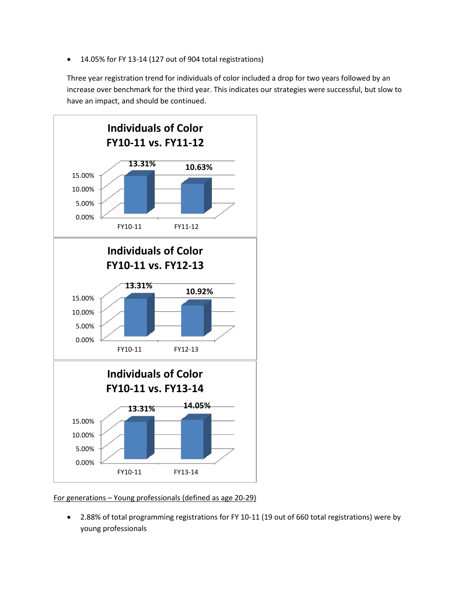• 14.05% for FY 13-14 (127 out of 904 total registrations)

Three year registration trend for individuals of color included a drop for two years followed by an increase over benchmark for the third year. This indicates our strategies were successful, but slow to have an impact, and should be continued.



For generations – Young professionals (defined as age 20-29)

• 2.88% of total programming registrations for FY 10-11 (19 out of 660 total registrations) were by young professionals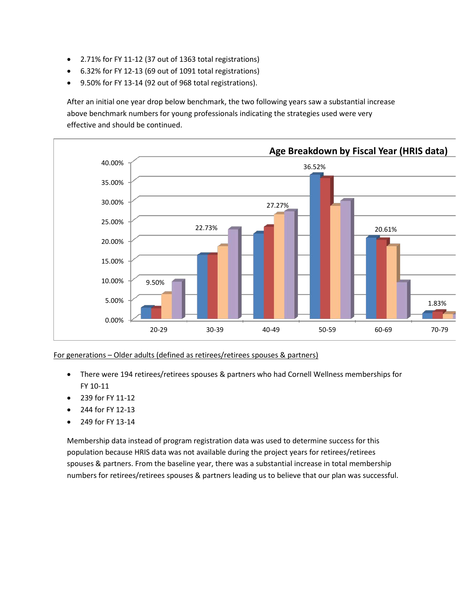- 2.71% for FY 11-12 (37 out of 1363 total registrations)
- 6.32% for FY 12-13 (69 out of 1091 total registrations)
- 9.50% for FY 13-14 (92 out of 968 total registrations).

After an initial one year drop below benchmark, the two following years saw a substantial increase above benchmark numbers for young professionals indicating the strategies used were very effective and should be continued.



### For generations – Older adults (defined as retirees/retirees spouses & partners)

- There were 194 retirees/retirees spouses & partners who had Cornell Wellness memberships for FY 10-11
- 239 for FY 11-12
- 244 for FY 12-13
- 249 for FY 13-14

Membership data instead of program registration data was used to determine success for this population because HRIS data was not available during the project years for retirees/retirees spouses & partners. From the baseline year, there was a substantial increase in total membership numbers for retirees/retirees spouses & partners leading us to believe that our plan was successful.